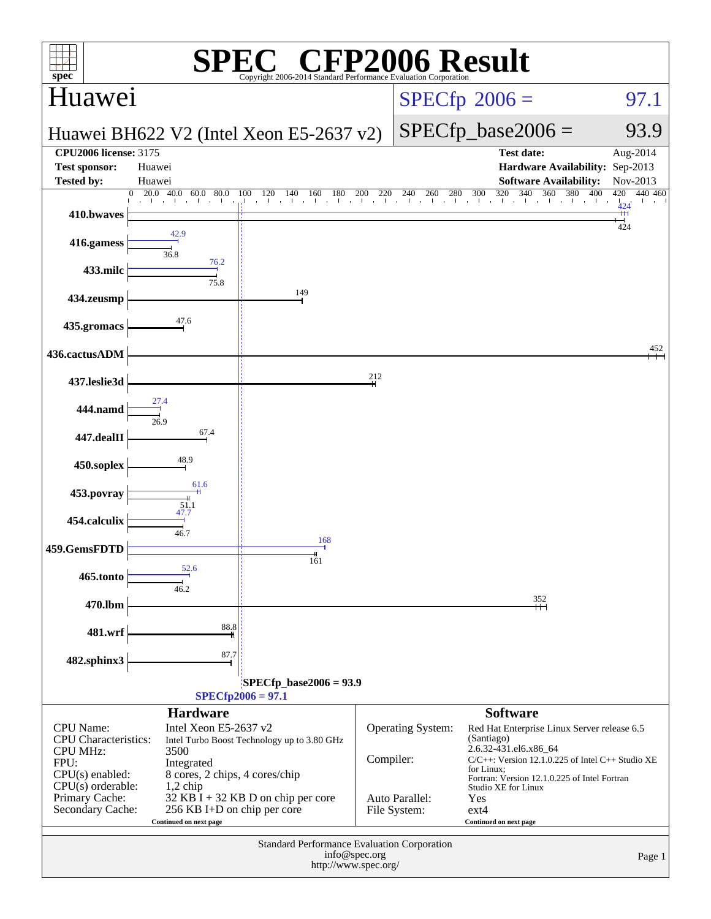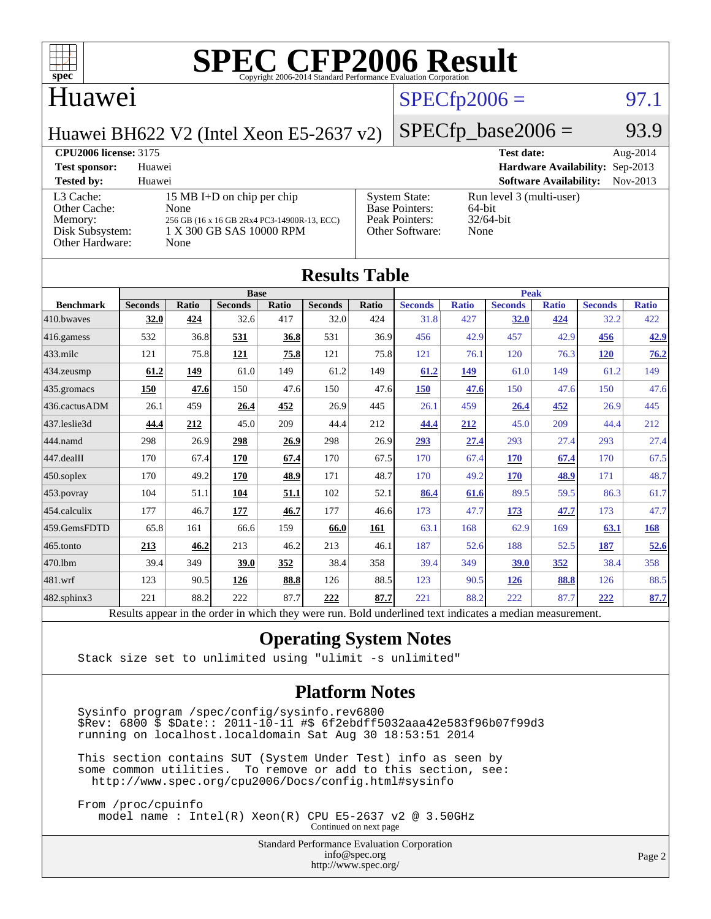

#### Huawei

## $SPECTp2006 = 97.1$

Huawei BH622 V2 (Intel Xeon E5-2637 v2)

#### $SPECfp\_base2006 = 93.9$

#### **[CPU2006 license:](http://www.spec.org/auto/cpu2006/Docs/result-fields.html#CPU2006license)** 3175 **[Test date:](http://www.spec.org/auto/cpu2006/Docs/result-fields.html#Testdate)** Aug-2014 **[Test sponsor:](http://www.spec.org/auto/cpu2006/Docs/result-fields.html#Testsponsor)** Huawei **[Hardware Availability:](http://www.spec.org/auto/cpu2006/Docs/result-fields.html#HardwareAvailability)** Sep-2013 **[Tested by:](http://www.spec.org/auto/cpu2006/Docs/result-fields.html#Testedby)** Huawei **[Software Availability:](http://www.spec.org/auto/cpu2006/Docs/result-fields.html#SoftwareAvailability)** Nov-2013 [L3 Cache:](http://www.spec.org/auto/cpu2006/Docs/result-fields.html#L3Cache) 15 MB I+D on chip per chip<br>Other Cache: None [Other Cache:](http://www.spec.org/auto/cpu2006/Docs/result-fields.html#OtherCache) [Memory:](http://www.spec.org/auto/cpu2006/Docs/result-fields.html#Memory) 256 GB (16 x 16 GB 2Rx4 PC3-14900R-13, ECC) [Disk Subsystem:](http://www.spec.org/auto/cpu2006/Docs/result-fields.html#DiskSubsystem) 1 X 300 GB SAS 10000 RPM [Other Hardware:](http://www.spec.org/auto/cpu2006/Docs/result-fields.html#OtherHardware) None [System State:](http://www.spec.org/auto/cpu2006/Docs/result-fields.html#SystemState) Run level 3 (multi-user)<br>Base Pointers: 64-bit [Base Pointers:](http://www.spec.org/auto/cpu2006/Docs/result-fields.html#BasePointers) 64-bit<br>Peak Pointers: 32/64-bit [Peak Pointers:](http://www.spec.org/auto/cpu2006/Docs/result-fields.html#PeakPointers) [Other Software:](http://www.spec.org/auto/cpu2006/Docs/result-fields.html#OtherSoftware) None

| <b>Results Table</b> |                                                                                                          |       |                |       |                |       |                |              |                |              |                |              |
|----------------------|----------------------------------------------------------------------------------------------------------|-------|----------------|-------|----------------|-------|----------------|--------------|----------------|--------------|----------------|--------------|
|                      | <b>Base</b>                                                                                              |       |                |       |                |       | <b>Peak</b>    |              |                |              |                |              |
| <b>Benchmark</b>     | <b>Seconds</b>                                                                                           | Ratio | <b>Seconds</b> | Ratio | <b>Seconds</b> | Ratio | <b>Seconds</b> | <b>Ratio</b> | <b>Seconds</b> | <b>Ratio</b> | <b>Seconds</b> | <b>Ratio</b> |
| 410.bwayes           | 32.0                                                                                                     | 424   | 32.6           | 417   | 32.0           | 424   | 31.8           | 427          | 32.0           | 424          | 32.2           | 422          |
| 416.gamess           | 532                                                                                                      | 36.8  | 531            | 36.8  | 531            | 36.9  | 456            | 42.9         | 457            | 42.9         | 456            | 42.9         |
| $433$ .milc          | 121                                                                                                      | 75.8  | 121            | 75.8  | 121            | 75.8  | 121            | 76.1         | 120            | 76.3         | <b>120</b>     | 76.2         |
| $434$ . zeusmp       | 61.2                                                                                                     | 149   | 61.0           | 149   | 61.2           | 149   | 61.2           | 149          | 61.0           | 149          | 61.2           | 149          |
| 435.gromacs          | 150                                                                                                      | 47.6  | 150            | 47.6  | 150            | 47.6  | <b>150</b>     | 47.6         | 150            | 47.6         | 150            | 47.6         |
| 436.cactusADM        | 26.1                                                                                                     | 459   | 26.4           | 452   | 26.9           | 445   | 26.1           | 459          | 26.4           | 452          | 26.9           | 445          |
| 437.leslie3d         | 44.4                                                                                                     | 212   | 45.0           | 209   | 44.4           | 212   | 44.4           | 212          | 45.0           | 209          | 44.4           | 212          |
| 444.namd             | 298                                                                                                      | 26.9  | 298            | 26.9  | 298            | 26.9  | 293            | 27.4         | 293            | 27.4         | 293            | 27.4         |
| $447$ .dealII        | 170                                                                                                      | 67.4  | 170            | 67.4  | 170            | 67.5  | 170            | 67.4         | <b>170</b>     | 67.4         | 170            | 67.5         |
| $450$ .soplex        | 170                                                                                                      | 49.2  | 170            | 48.9  | 171            | 48.7  | 170            | 49.2         | <b>170</b>     | 48.9         | 171            | 48.7         |
| $453$ .povray        | 104                                                                                                      | 51.1  | 104            | 51.1  | 102            | 52.1  | 86.4           | 61.6         | 89.5           | 59.5         | 86.3           | 61.7         |
| 454.calculix         | 177                                                                                                      | 46.7  | 177            | 46.7  | 177            | 46.6  | 173            | 47.7         | 173            | 47.7         | 173            | 47.7         |
| 459.GemsFDTD         | 65.8                                                                                                     | 161   | 66.6           | 159   | 66.0           | 161   | 63.1           | 168          | 62.9           | 169          | 63.1           | 168          |
| 465.tonto            | 213                                                                                                      | 46.2  | 213            | 46.2  | 213            | 46.1  | 187            | 52.6         | 188            | 52.5         | 187            | 52.6         |
| 470.1bm              | 39.4                                                                                                     | 349   | 39.0           | 352   | 38.4           | 358   | 39.4           | 349          | 39.0           | 352          | 38.4           | 358          |
| 481.wrf              | 123                                                                                                      | 90.5  | 126            | 88.8  | 126            | 88.5  | 123            | 90.5         | 126            | 88.8         | 126            | 88.5         |
| 482.sphinx3          | 221                                                                                                      | 88.2  | 222            | 87.7  | 222            | 87.7  | 221            | 88.2         | 222            | 87.7         | 222            | 87.7         |
|                      | Results appear in the order in which they were run. Bold underlined text indicates a median measurement. |       |                |       |                |       |                |              |                |              |                |              |

#### **[Operating System Notes](http://www.spec.org/auto/cpu2006/Docs/result-fields.html#OperatingSystemNotes)**

Stack size set to unlimited using "ulimit -s unlimited"

#### **[Platform Notes](http://www.spec.org/auto/cpu2006/Docs/result-fields.html#PlatformNotes)**

 Sysinfo program /spec/config/sysinfo.rev6800 \$Rev: 6800 \$ \$Date:: 2011-10-11 #\$ 6f2ebdff5032aaa42e583f96b07f99d3 running on localhost.localdomain Sat Aug 30 18:53:51 2014

 This section contains SUT (System Under Test) info as seen by some common utilities. To remove or add to this section, see: <http://www.spec.org/cpu2006/Docs/config.html#sysinfo>

 From /proc/cpuinfo model name : Intel(R) Xeon(R) CPU E5-2637 v2 @ 3.50GHz Continued on next page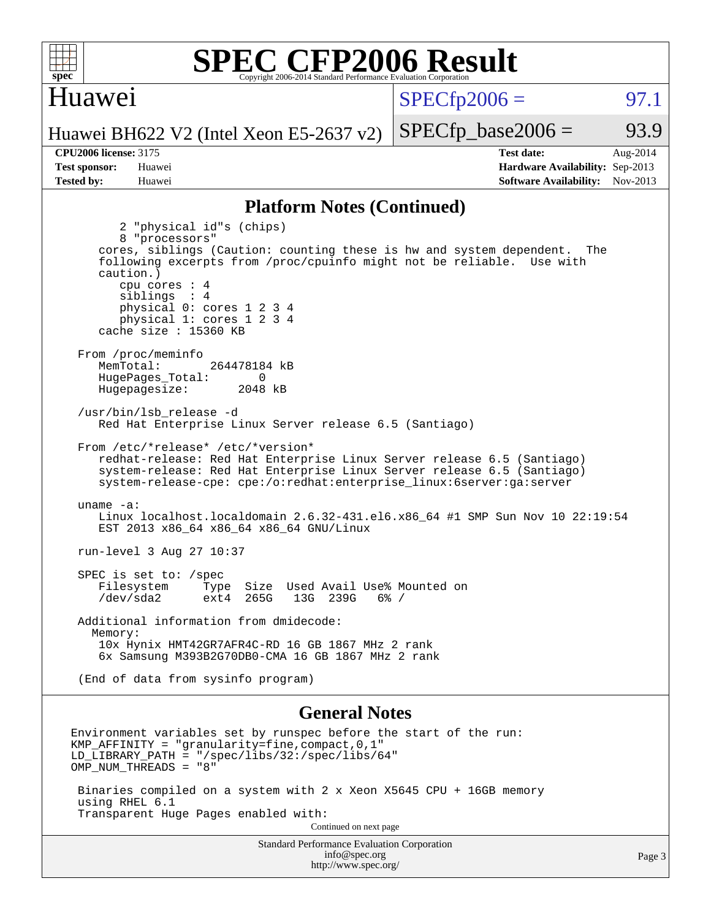

#### Huawei

 $SPECTp2006 =$  97.1

Huawei BH622 V2 (Intel Xeon E5-2637 v2)

**[Tested by:](http://www.spec.org/auto/cpu2006/Docs/result-fields.html#Testedby)** Huawei **[Software Availability:](http://www.spec.org/auto/cpu2006/Docs/result-fields.html#SoftwareAvailability)** Nov-2013

**[CPU2006 license:](http://www.spec.org/auto/cpu2006/Docs/result-fields.html#CPU2006license)** 3175 **[Test date:](http://www.spec.org/auto/cpu2006/Docs/result-fields.html#Testdate)** Aug-2014 **[Test sponsor:](http://www.spec.org/auto/cpu2006/Docs/result-fields.html#Testsponsor)** Huawei **[Hardware Availability:](http://www.spec.org/auto/cpu2006/Docs/result-fields.html#HardwareAvailability)** Sep-2013

 $SPECTp\_base2006 = 93.9$ 

#### **[Platform Notes \(Continued\)](http://www.spec.org/auto/cpu2006/Docs/result-fields.html#PlatformNotes)**

 2 "physical id"s (chips) 8 "processors" cores, siblings (Caution: counting these is hw and system dependent. The following excerpts from /proc/cpuinfo might not be reliable. Use with caution.) cpu cores : 4 siblings : 4 physical 0: cores 1 2 3 4 physical 1: cores 1 2 3 4 cache size : 15360 KB From /proc/meminfo MemTotal: 264478184 kB HugePages\_Total: 0<br>Hugepagesize: 2048 kB Hugepagesize: /usr/bin/lsb\_release -d Red Hat Enterprise Linux Server release 6.5 (Santiago) From /etc/\*release\* /etc/\*version\* redhat-release: Red Hat Enterprise Linux Server release 6.5 (Santiago) system-release: Red Hat Enterprise Linux Server release 6.5 (Santiago) system-release-cpe: cpe:/o:redhat:enterprise\_linux:6server:ga:server uname -a: Linux localhost.localdomain 2.6.32-431.el6.x86\_64 #1 SMP Sun Nov 10 22:19:54 EST 2013 x86\_64 x86\_64 x86\_64 GNU/Linux run-level 3 Aug 27 10:37 SPEC is set to: /spec Filesystem Type Size Used Avail Use% Mounted on<br>
/dev/sda2 ext4 265G 13G 239G 6% / /dev/sda2 ext4 265G 13G 239G 6% / Additional information from dmidecode: Memory: 10x Hynix HMT42GR7AFR4C-RD 16 GB 1867 MHz 2 rank 6x Samsung M393B2G70DB0-CMA 16 GB 1867 MHz 2 rank (End of data from sysinfo program) **[General Notes](http://www.spec.org/auto/cpu2006/Docs/result-fields.html#GeneralNotes)** Environment variables set by runspec before the start of the run: KMP\_AFFINITY = "granularity=fine,compact,0,1" LD LIBRARY PATH = "/spec/libs/32:/spec/libs/64" OMP\_NUM\_THREADS = "8"

 Binaries compiled on a system with 2 x Xeon X5645 CPU + 16GB memory using RHEL 6.1 Transparent Huge Pages enabled with:

Continued on next page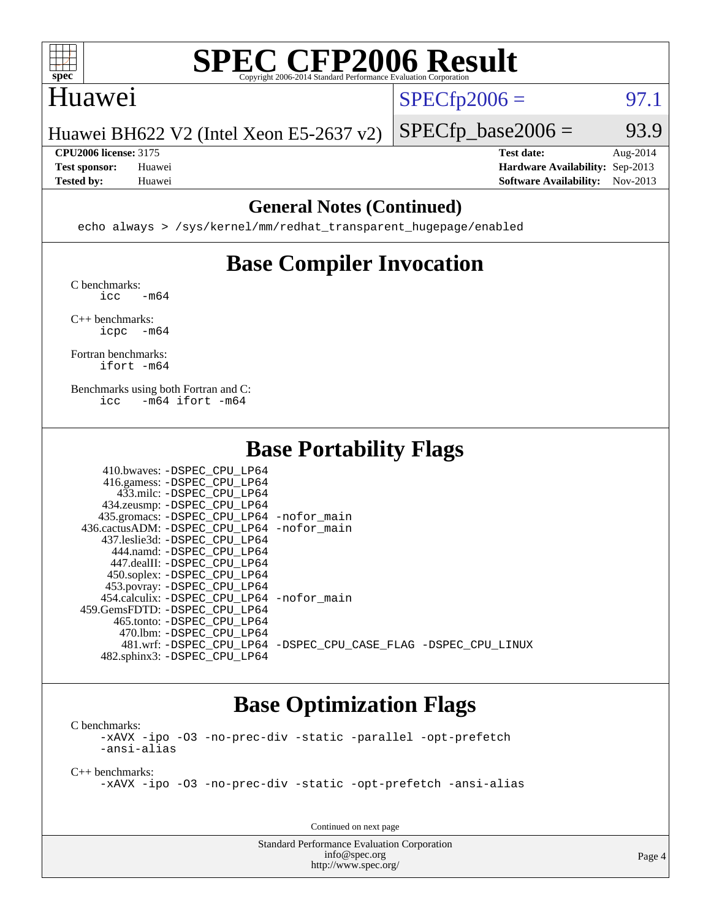

### Huawei

 $SPECTp2006 = 97.1$ 

Huawei BH622 V2 (Intel Xeon E5-2637 v2)

**[CPU2006 license:](http://www.spec.org/auto/cpu2006/Docs/result-fields.html#CPU2006license)** 3175 **[Test date:](http://www.spec.org/auto/cpu2006/Docs/result-fields.html#Testdate)** Aug-2014 **[Test sponsor:](http://www.spec.org/auto/cpu2006/Docs/result-fields.html#Testsponsor)** Huawei **[Hardware Availability:](http://www.spec.org/auto/cpu2006/Docs/result-fields.html#HardwareAvailability)** Sep-2013

 $SPECTp\_base2006 = 93.9$ 

**[Tested by:](http://www.spec.org/auto/cpu2006/Docs/result-fields.html#Testedby)** Huawei **[Software Availability:](http://www.spec.org/auto/cpu2006/Docs/result-fields.html#SoftwareAvailability)** Nov-2013

#### **[General Notes \(Continued\)](http://www.spec.org/auto/cpu2006/Docs/result-fields.html#GeneralNotes)**

echo always > /sys/kernel/mm/redhat\_transparent\_hugepage/enabled

## **[Base Compiler Invocation](http://www.spec.org/auto/cpu2006/Docs/result-fields.html#BaseCompilerInvocation)**

[C benchmarks](http://www.spec.org/auto/cpu2006/Docs/result-fields.html#Cbenchmarks):  $\text{icc}$   $-\text{m64}$ 

[C++ benchmarks:](http://www.spec.org/auto/cpu2006/Docs/result-fields.html#CXXbenchmarks) [icpc -m64](http://www.spec.org/cpu2006/results/res2014q3/cpu2006-20140901-31119.flags.html#user_CXXbase_intel_icpc_64bit_bedb90c1146cab66620883ef4f41a67e)

[Fortran benchmarks](http://www.spec.org/auto/cpu2006/Docs/result-fields.html#Fortranbenchmarks): [ifort -m64](http://www.spec.org/cpu2006/results/res2014q3/cpu2006-20140901-31119.flags.html#user_FCbase_intel_ifort_64bit_ee9d0fb25645d0210d97eb0527dcc06e)

[Benchmarks using both Fortran and C](http://www.spec.org/auto/cpu2006/Docs/result-fields.html#BenchmarksusingbothFortranandC): [icc -m64](http://www.spec.org/cpu2006/results/res2014q3/cpu2006-20140901-31119.flags.html#user_CC_FCbase_intel_icc_64bit_0b7121f5ab7cfabee23d88897260401c) [ifort -m64](http://www.spec.org/cpu2006/results/res2014q3/cpu2006-20140901-31119.flags.html#user_CC_FCbase_intel_ifort_64bit_ee9d0fb25645d0210d97eb0527dcc06e)

### **[Base Portability Flags](http://www.spec.org/auto/cpu2006/Docs/result-fields.html#BasePortabilityFlags)**

| 410.bwaves: -DSPEC CPU LP64                 |                                                                |
|---------------------------------------------|----------------------------------------------------------------|
| 416.gamess: -DSPEC_CPU_LP64                 |                                                                |
| 433.milc: -DSPEC CPU LP64                   |                                                                |
| 434.zeusmp: - DSPEC_CPU_LP64                |                                                                |
| 435.gromacs: -DSPEC_CPU_LP64 -nofor_main    |                                                                |
| 436.cactusADM: -DSPEC CPU LP64 -nofor main  |                                                                |
| 437.leslie3d: -DSPEC CPU LP64               |                                                                |
| 444.namd: -DSPEC CPU LP64                   |                                                                |
| 447.dealII: -DSPEC CPU LP64                 |                                                                |
| 450.soplex: -DSPEC_CPU_LP64                 |                                                                |
| 453.povray: -DSPEC_CPU_LP64                 |                                                                |
| 454.calculix: - DSPEC CPU LP64 - nofor main |                                                                |
| 459.GemsFDTD: -DSPEC CPU LP64               |                                                                |
| 465.tonto: -DSPEC CPU LP64                  |                                                                |
| 470.1bm: - DSPEC CPU LP64                   |                                                                |
|                                             | 481.wrf: -DSPEC CPU_LP64 -DSPEC_CPU_CASE_FLAG -DSPEC_CPU_LINUX |
| 482.sphinx3: -DSPEC_CPU_LP64                |                                                                |

#### **[Base Optimization Flags](http://www.spec.org/auto/cpu2006/Docs/result-fields.html#BaseOptimizationFlags)**

[C benchmarks](http://www.spec.org/auto/cpu2006/Docs/result-fields.html#Cbenchmarks): [-xAVX](http://www.spec.org/cpu2006/results/res2014q3/cpu2006-20140901-31119.flags.html#user_CCbase_f-xAVX) [-ipo](http://www.spec.org/cpu2006/results/res2014q3/cpu2006-20140901-31119.flags.html#user_CCbase_f-ipo) [-O3](http://www.spec.org/cpu2006/results/res2014q3/cpu2006-20140901-31119.flags.html#user_CCbase_f-O3) [-no-prec-div](http://www.spec.org/cpu2006/results/res2014q3/cpu2006-20140901-31119.flags.html#user_CCbase_f-no-prec-div) [-static](http://www.spec.org/cpu2006/results/res2014q3/cpu2006-20140901-31119.flags.html#user_CCbase_f-static) [-parallel](http://www.spec.org/cpu2006/results/res2014q3/cpu2006-20140901-31119.flags.html#user_CCbase_f-parallel) [-opt-prefetch](http://www.spec.org/cpu2006/results/res2014q3/cpu2006-20140901-31119.flags.html#user_CCbase_f-opt-prefetch) [-ansi-alias](http://www.spec.org/cpu2006/results/res2014q3/cpu2006-20140901-31119.flags.html#user_CCbase_f-ansi-alias)

[C++ benchmarks:](http://www.spec.org/auto/cpu2006/Docs/result-fields.html#CXXbenchmarks)

[-xAVX](http://www.spec.org/cpu2006/results/res2014q3/cpu2006-20140901-31119.flags.html#user_CXXbase_f-xAVX) [-ipo](http://www.spec.org/cpu2006/results/res2014q3/cpu2006-20140901-31119.flags.html#user_CXXbase_f-ipo) [-O3](http://www.spec.org/cpu2006/results/res2014q3/cpu2006-20140901-31119.flags.html#user_CXXbase_f-O3) [-no-prec-div](http://www.spec.org/cpu2006/results/res2014q3/cpu2006-20140901-31119.flags.html#user_CXXbase_f-no-prec-div) [-static](http://www.spec.org/cpu2006/results/res2014q3/cpu2006-20140901-31119.flags.html#user_CXXbase_f-static) [-opt-prefetch](http://www.spec.org/cpu2006/results/res2014q3/cpu2006-20140901-31119.flags.html#user_CXXbase_f-opt-prefetch) [-ansi-alias](http://www.spec.org/cpu2006/results/res2014q3/cpu2006-20140901-31119.flags.html#user_CXXbase_f-ansi-alias)

Continued on next page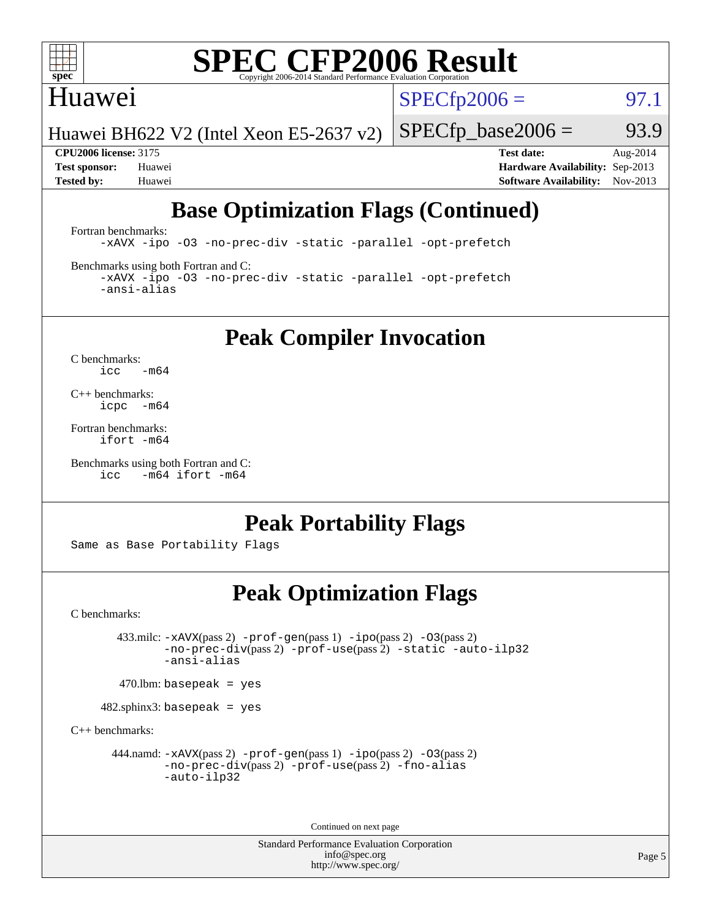

#### Huawei

 $SPECTp2006 =$  97.1

Huawei BH622 V2 (Intel Xeon E5-2637 v2)

 $SPECTp\_base2006 = 93.9$ 

**[CPU2006 license:](http://www.spec.org/auto/cpu2006/Docs/result-fields.html#CPU2006license)** 3175 **[Test date:](http://www.spec.org/auto/cpu2006/Docs/result-fields.html#Testdate)** Aug-2014 **[Test sponsor:](http://www.spec.org/auto/cpu2006/Docs/result-fields.html#Testsponsor)** Huawei **[Hardware Availability:](http://www.spec.org/auto/cpu2006/Docs/result-fields.html#HardwareAvailability)** Sep-2013 **[Tested by:](http://www.spec.org/auto/cpu2006/Docs/result-fields.html#Testedby)** Huawei **[Software Availability:](http://www.spec.org/auto/cpu2006/Docs/result-fields.html#SoftwareAvailability)** Nov-2013

## **[Base Optimization Flags \(Continued\)](http://www.spec.org/auto/cpu2006/Docs/result-fields.html#BaseOptimizationFlags)**

[Fortran benchmarks](http://www.spec.org/auto/cpu2006/Docs/result-fields.html#Fortranbenchmarks): [-xAVX](http://www.spec.org/cpu2006/results/res2014q3/cpu2006-20140901-31119.flags.html#user_FCbase_f-xAVX) [-ipo](http://www.spec.org/cpu2006/results/res2014q3/cpu2006-20140901-31119.flags.html#user_FCbase_f-ipo) [-O3](http://www.spec.org/cpu2006/results/res2014q3/cpu2006-20140901-31119.flags.html#user_FCbase_f-O3) [-no-prec-div](http://www.spec.org/cpu2006/results/res2014q3/cpu2006-20140901-31119.flags.html#user_FCbase_f-no-prec-div) [-static](http://www.spec.org/cpu2006/results/res2014q3/cpu2006-20140901-31119.flags.html#user_FCbase_f-static) [-parallel](http://www.spec.org/cpu2006/results/res2014q3/cpu2006-20140901-31119.flags.html#user_FCbase_f-parallel) [-opt-prefetch](http://www.spec.org/cpu2006/results/res2014q3/cpu2006-20140901-31119.flags.html#user_FCbase_f-opt-prefetch)

[Benchmarks using both Fortran and C](http://www.spec.org/auto/cpu2006/Docs/result-fields.html#BenchmarksusingbothFortranandC):

[-xAVX](http://www.spec.org/cpu2006/results/res2014q3/cpu2006-20140901-31119.flags.html#user_CC_FCbase_f-xAVX) [-ipo](http://www.spec.org/cpu2006/results/res2014q3/cpu2006-20140901-31119.flags.html#user_CC_FCbase_f-ipo) [-O3](http://www.spec.org/cpu2006/results/res2014q3/cpu2006-20140901-31119.flags.html#user_CC_FCbase_f-O3) [-no-prec-div](http://www.spec.org/cpu2006/results/res2014q3/cpu2006-20140901-31119.flags.html#user_CC_FCbase_f-no-prec-div) [-static](http://www.spec.org/cpu2006/results/res2014q3/cpu2006-20140901-31119.flags.html#user_CC_FCbase_f-static) [-parallel](http://www.spec.org/cpu2006/results/res2014q3/cpu2006-20140901-31119.flags.html#user_CC_FCbase_f-parallel) [-opt-prefetch](http://www.spec.org/cpu2006/results/res2014q3/cpu2006-20140901-31119.flags.html#user_CC_FCbase_f-opt-prefetch) [-ansi-alias](http://www.spec.org/cpu2006/results/res2014q3/cpu2006-20140901-31119.flags.html#user_CC_FCbase_f-ansi-alias)

**[Peak Compiler Invocation](http://www.spec.org/auto/cpu2006/Docs/result-fields.html#PeakCompilerInvocation)**

[C benchmarks](http://www.spec.org/auto/cpu2006/Docs/result-fields.html#Cbenchmarks):  $\text{icc}$  -m64

[C++ benchmarks:](http://www.spec.org/auto/cpu2006/Docs/result-fields.html#CXXbenchmarks) [icpc -m64](http://www.spec.org/cpu2006/results/res2014q3/cpu2006-20140901-31119.flags.html#user_CXXpeak_intel_icpc_64bit_bedb90c1146cab66620883ef4f41a67e)

[Fortran benchmarks](http://www.spec.org/auto/cpu2006/Docs/result-fields.html#Fortranbenchmarks): [ifort -m64](http://www.spec.org/cpu2006/results/res2014q3/cpu2006-20140901-31119.flags.html#user_FCpeak_intel_ifort_64bit_ee9d0fb25645d0210d97eb0527dcc06e)

[Benchmarks using both Fortran and C](http://www.spec.org/auto/cpu2006/Docs/result-fields.html#BenchmarksusingbothFortranandC): [icc -m64](http://www.spec.org/cpu2006/results/res2014q3/cpu2006-20140901-31119.flags.html#user_CC_FCpeak_intel_icc_64bit_0b7121f5ab7cfabee23d88897260401c) [ifort -m64](http://www.spec.org/cpu2006/results/res2014q3/cpu2006-20140901-31119.flags.html#user_CC_FCpeak_intel_ifort_64bit_ee9d0fb25645d0210d97eb0527dcc06e)

#### **[Peak Portability Flags](http://www.spec.org/auto/cpu2006/Docs/result-fields.html#PeakPortabilityFlags)**

Same as Base Portability Flags

### **[Peak Optimization Flags](http://www.spec.org/auto/cpu2006/Docs/result-fields.html#PeakOptimizationFlags)**

[C benchmarks](http://www.spec.org/auto/cpu2006/Docs/result-fields.html#Cbenchmarks):

 433.milc: [-xAVX](http://www.spec.org/cpu2006/results/res2014q3/cpu2006-20140901-31119.flags.html#user_peakPASS2_CFLAGSPASS2_LDFLAGS433_milc_f-xAVX)(pass 2) [-prof-gen](http://www.spec.org/cpu2006/results/res2014q3/cpu2006-20140901-31119.flags.html#user_peakPASS1_CFLAGSPASS1_LDFLAGS433_milc_prof_gen_e43856698f6ca7b7e442dfd80e94a8fc)(pass 1) [-ipo](http://www.spec.org/cpu2006/results/res2014q3/cpu2006-20140901-31119.flags.html#user_peakPASS2_CFLAGSPASS2_LDFLAGS433_milc_f-ipo)(pass 2) [-O3](http://www.spec.org/cpu2006/results/res2014q3/cpu2006-20140901-31119.flags.html#user_peakPASS2_CFLAGSPASS2_LDFLAGS433_milc_f-O3)(pass 2) [-no-prec-div](http://www.spec.org/cpu2006/results/res2014q3/cpu2006-20140901-31119.flags.html#user_peakPASS2_CFLAGSPASS2_LDFLAGS433_milc_f-no-prec-div)(pass 2) [-prof-use](http://www.spec.org/cpu2006/results/res2014q3/cpu2006-20140901-31119.flags.html#user_peakPASS2_CFLAGSPASS2_LDFLAGS433_milc_prof_use_bccf7792157ff70d64e32fe3e1250b55)(pass 2) [-static](http://www.spec.org/cpu2006/results/res2014q3/cpu2006-20140901-31119.flags.html#user_peakOPTIMIZE433_milc_f-static) [-auto-ilp32](http://www.spec.org/cpu2006/results/res2014q3/cpu2006-20140901-31119.flags.html#user_peakCOPTIMIZE433_milc_f-auto-ilp32) [-ansi-alias](http://www.spec.org/cpu2006/results/res2014q3/cpu2006-20140901-31119.flags.html#user_peakCOPTIMIZE433_milc_f-ansi-alias)

 $470$ .lbm: basepeak = yes

482.sphinx3: basepeak = yes

[C++ benchmarks:](http://www.spec.org/auto/cpu2006/Docs/result-fields.html#CXXbenchmarks)

444.namd:  $-x$ AVX(pass 2)  $-p$ rof-gen(pass 1)  $-p$ po(pass 2)  $-03$ (pass 2) [-no-prec-div](http://www.spec.org/cpu2006/results/res2014q3/cpu2006-20140901-31119.flags.html#user_peakPASS2_CXXFLAGSPASS2_LDFLAGS444_namd_f-no-prec-div)(pass 2) [-prof-use](http://www.spec.org/cpu2006/results/res2014q3/cpu2006-20140901-31119.flags.html#user_peakPASS2_CXXFLAGSPASS2_LDFLAGS444_namd_prof_use_bccf7792157ff70d64e32fe3e1250b55)(pass 2) [-fno-alias](http://www.spec.org/cpu2006/results/res2014q3/cpu2006-20140901-31119.flags.html#user_peakCXXOPTIMIZEOPTIMIZE444_namd_f-no-alias_694e77f6c5a51e658e82ccff53a9e63a) [-auto-ilp32](http://www.spec.org/cpu2006/results/res2014q3/cpu2006-20140901-31119.flags.html#user_peakCXXOPTIMIZE444_namd_f-auto-ilp32)

Continued on next page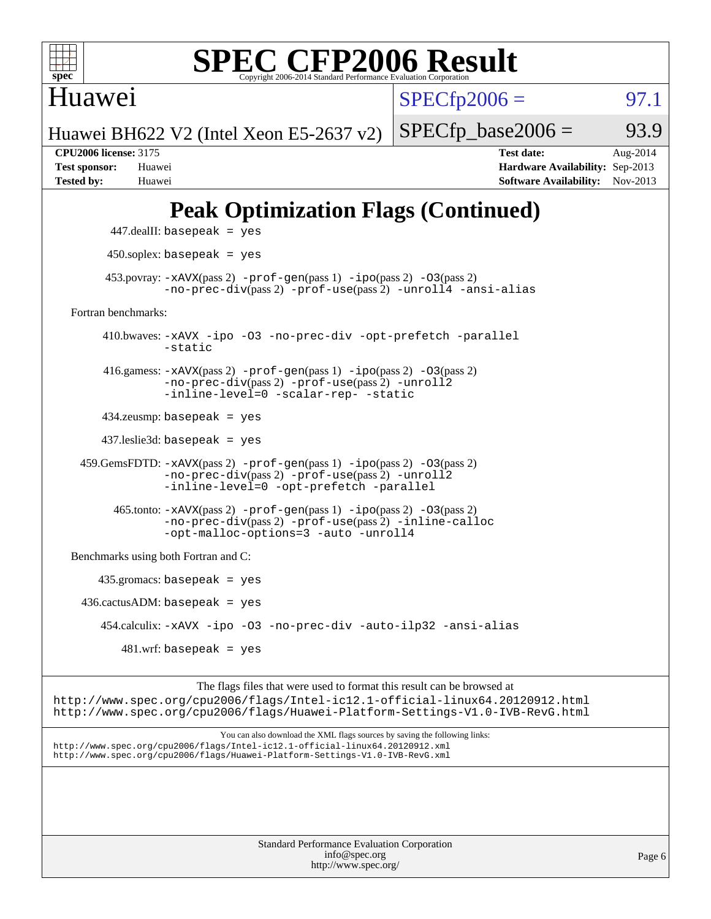

Huawei

 $SPECTp2006 = 97.1$ 

Huawei BH622 V2 (Intel Xeon E5-2637 v2)

**[CPU2006 license:](http://www.spec.org/auto/cpu2006/Docs/result-fields.html#CPU2006license)** 3175 **[Test date:](http://www.spec.org/auto/cpu2006/Docs/result-fields.html#Testdate)** Aug-2014 **[Test sponsor:](http://www.spec.org/auto/cpu2006/Docs/result-fields.html#Testsponsor)** Huawei **[Hardware Availability:](http://www.spec.org/auto/cpu2006/Docs/result-fields.html#HardwareAvailability)** Sep-2013 **[Tested by:](http://www.spec.org/auto/cpu2006/Docs/result-fields.html#Testedby)** Huawei **[Software Availability:](http://www.spec.org/auto/cpu2006/Docs/result-fields.html#SoftwareAvailability)** Nov-2013

 $SPECTp\_base2006 = 93.9$ 

## **[Peak Optimization Flags \(Continued\)](http://www.spec.org/auto/cpu2006/Docs/result-fields.html#PeakOptimizationFlags)**

```
 447.dealII: basepeak = yes
          450.soplex: basepeak = yes
        453.povray: -xAVX(pass 2) -prof-gen(pass 1) -ipo(pass 2) -03(pass 2)
                   -no-prec-div(pass 2) -prof-use(pass 2) -unroll4 -ansi-alias
   Fortran benchmarks: 
         410.bwaves: -xAVX -ipo -O3 -no-prec-div -opt-prefetch -parallel
                   -static
         416.gamess: -xAVX(pass 2) -prof-gen(pass 1) -ipo(pass 2) -O3(pass 2)
                   -no-prec-div(pass 2) -prof-use(pass 2) -unroll2
                  -inline-level=0 -scalar-rep- -static
         434.zeusmp: basepeak = yes
         437.leslie3d: basepeak = yes
     459.GemsFDTD: -xAVX(pass 2) -prof-gen(pass 1) -ipo(pass 2) -O3(pass 2)
                  -no-prec-div(pass 2) -prof-use(pass 2) -unroll2
                  -inline-level=0 -opt-prefetch -parallel
           465.tonto: -xAVX(pass 2) -prof-gen(pass 1) -ipo(pass 2) -O3(pass 2)
                   -no-prec-div(pass 2) -prof-use(pass 2) -inline-calloc
                   -opt-malloc-options=3-auto-unroll4
   Benchmarks using both Fortran and C: 
        435.gromacs: basepeak = yes
    436.cactusADM:basepeak = yes 454.calculix: -xAVX -ipo -O3 -no-prec-div -auto-ilp32 -ansi-alias
           481 \text{.m}: basepeak = yes
                        The flags files that were used to format this result can be browsed at
http://www.spec.org/cpu2006/flags/Intel-ic12.1-official-linux64.20120912.html
```
<http://www.spec.org/cpu2006/flags/Huawei-Platform-Settings-V1.0-IVB-RevG.html>

You can also download the XML flags sources by saving the following links: <http://www.spec.org/cpu2006/flags/Intel-ic12.1-official-linux64.20120912.xml> <http://www.spec.org/cpu2006/flags/Huawei-Platform-Settings-V1.0-IVB-RevG.xml>